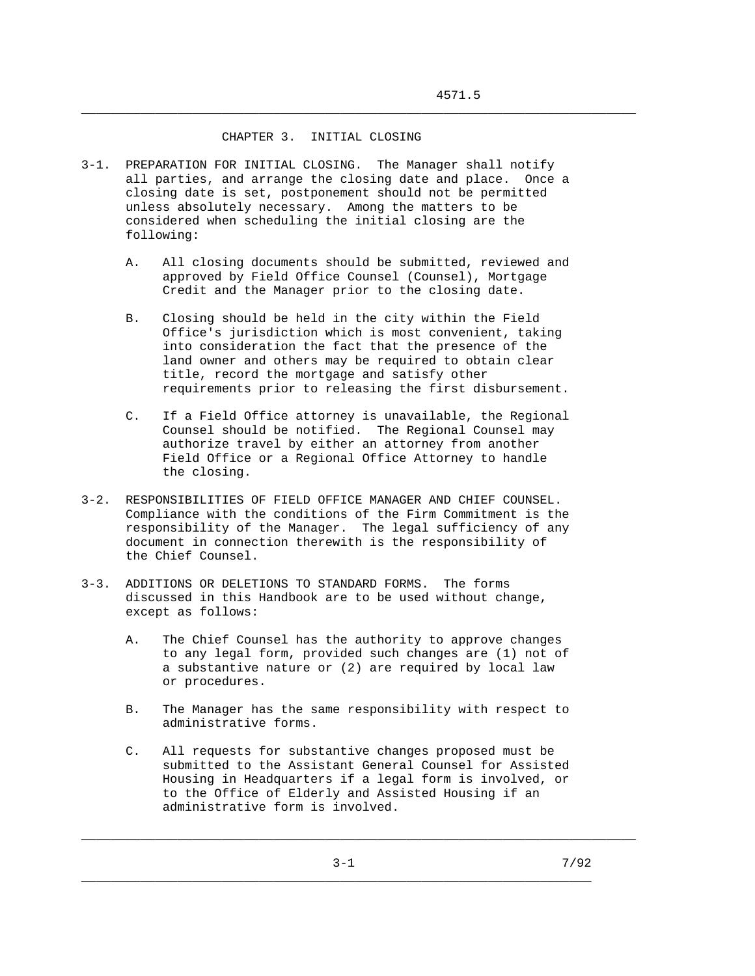## CHAPTER 3. INITIAL CLOSING

- 3-1. PREPARATION FOR INITIAL CLOSING. The Manager shall notify all parties, and arrange the closing date and place. Once a closing date is set, postponement should not be permitted unless absolutely necessary. Among the matters to be considered when scheduling the initial closing are the following:
	- A. All closing documents should be submitted, reviewed and approved by Field Office Counsel (Counsel), Mortgage Credit and the Manager prior to the closing date.

\_\_\_\_\_\_\_\_\_\_\_\_\_\_\_\_\_\_\_\_\_\_\_\_\_\_\_\_\_\_\_\_\_\_\_\_\_\_\_\_\_\_\_\_\_\_\_\_\_\_\_\_\_\_\_\_\_\_\_\_\_\_\_\_\_\_\_\_\_\_\_\_\_\_\_

- B. Closing should be held in the city within the Field Office's jurisdiction which is most convenient, taking into consideration the fact that the presence of the land owner and others may be required to obtain clear title, record the mortgage and satisfy other requirements prior to releasing the first disbursement.
- C. If a Field Office attorney is unavailable, the Regional Counsel should be notified. The Regional Counsel may authorize travel by either an attorney from another Field Office or a Regional Office Attorney to handle the closing.
- 3-2. RESPONSIBILITIES OF FIELD OFFICE MANAGER AND CHIEF COUNSEL. Compliance with the conditions of the Firm Commitment is the responsibility of the Manager. The legal sufficiency of any document in connection therewith is the responsibility of the Chief Counsel.
- 3-3. ADDITIONS OR DELETIONS TO STANDARD FORMS. The forms discussed in this Handbook are to be used without change, except as follows:
	- A. The Chief Counsel has the authority to approve changes to any legal form, provided such changes are (1) not of a substantive nature or (2) are required by local law or procedures.
	- B. The Manager has the same responsibility with respect to administrative forms.
	- C. All requests for substantive changes proposed must be submitted to the Assistant General Counsel for Assisted Housing in Headquarters if a legal form is involved, or to the Office of Elderly and Assisted Housing if an administrative form is involved.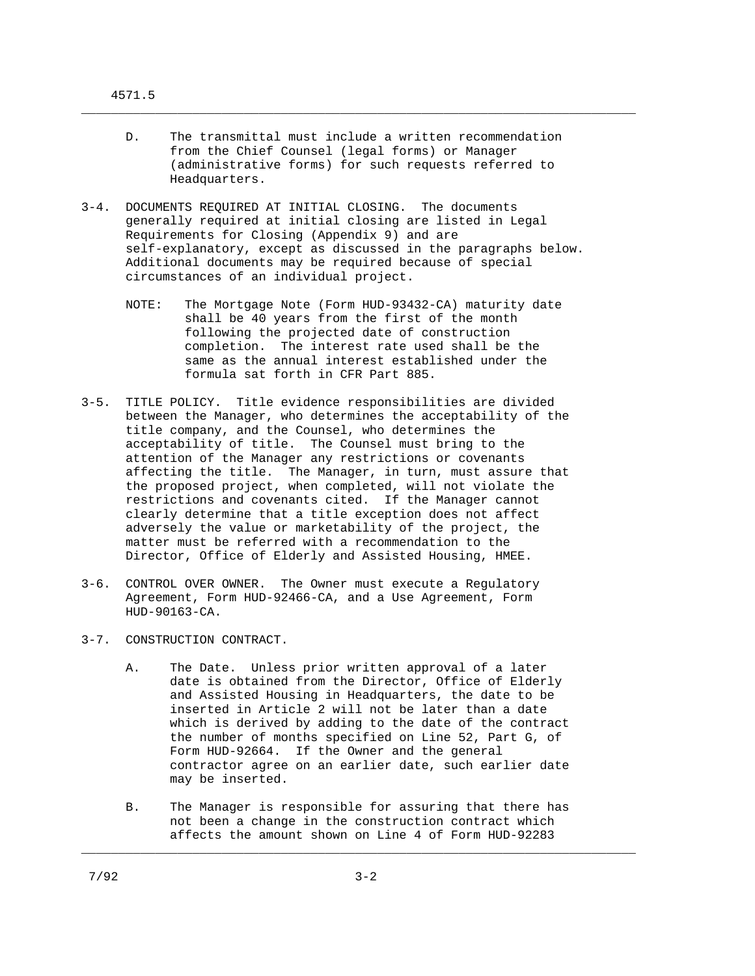D. The transmittal must include a written recommendation from the Chief Counsel (legal forms) or Manager (administrative forms) for such requests referred to Headquarters.

\_\_\_\_\_\_\_\_\_\_\_\_\_\_\_\_\_\_\_\_\_\_\_\_\_\_\_\_\_\_\_\_\_\_\_\_\_\_\_\_\_\_\_\_\_\_\_\_\_\_\_\_\_\_\_\_\_\_\_\_\_\_\_\_\_\_\_\_\_\_\_\_\_\_\_

- 3-4. DOCUMENTS REQUIRED AT INITIAL CLOSING. The documents generally required at initial closing are listed in Legal Requirements for Closing (Appendix 9) and are self-explanatory, except as discussed in the paragraphs below. Additional documents may be required because of special circumstances of an individual project.
	- NOTE: The Mortgage Note (Form HUD-93432-CA) maturity date shall be 40 years from the first of the month following the projected date of construction completion. The interest rate used shall be the same as the annual interest established under the formula sat forth in CFR Part 885.
- 3-5. TITLE POLICY. Title evidence responsibilities are divided between the Manager, who determines the acceptability of the title company, and the Counsel, who determines the acceptability of title. The Counsel must bring to the attention of the Manager any restrictions or covenants affecting the title. The Manager, in turn, must assure that the proposed project, when completed, will not violate the restrictions and covenants cited. If the Manager cannot clearly determine that a title exception does not affect adversely the value or marketability of the project, the matter must be referred with a recommendation to the Director, Office of Elderly and Assisted Housing, HMEE.
- 3-6. CONTROL OVER OWNER. The Owner must execute a Regulatory Agreement, Form HUD-92466-CA, and a Use Agreement, Form HUD-90163-CA.
- 3-7. CONSTRUCTION CONTRACT.
	- A. The Date. Unless prior written approval of a later date is obtained from the Director, Office of Elderly and Assisted Housing in Headquarters, the date to be inserted in Article 2 will not be later than a date which is derived by adding to the date of the contract the number of months specified on Line 52, Part G, of Form HUD-92664. If the Owner and the general contractor agree on an earlier date, such earlier date may be inserted.
	- B. The Manager is responsible for assuring that there has not been a change in the construction contract which affects the amount shown on Line 4 of Form HUD-92283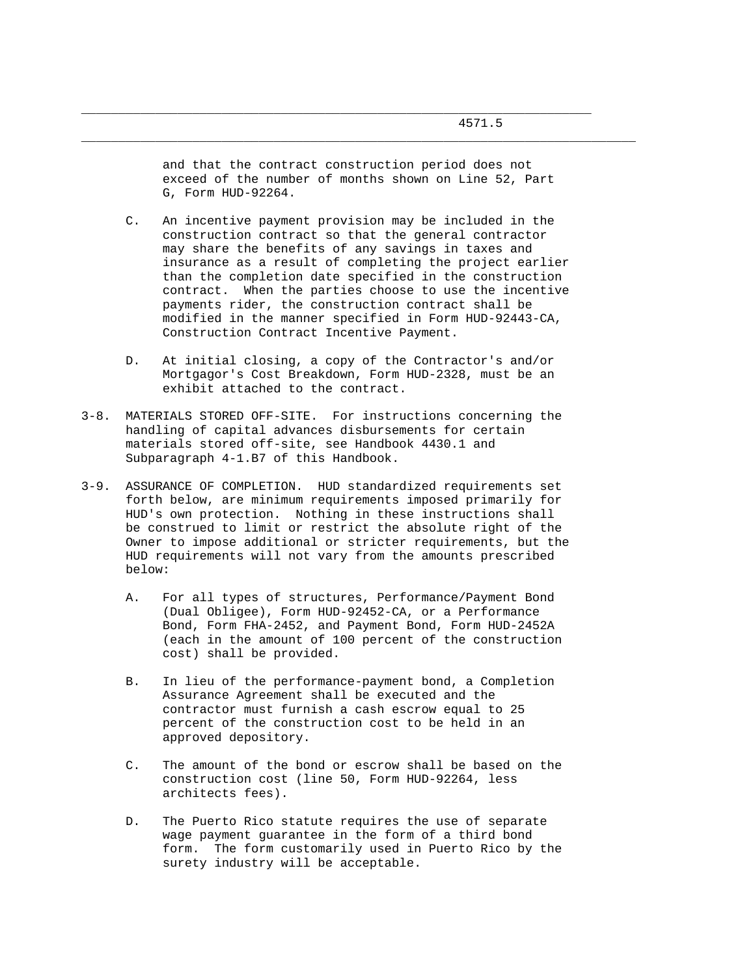and that the contract construction period does not exceed of the number of months shown on Line 52, Part G, Form HUD-92264.

\_\_\_\_\_\_\_\_\_\_\_\_\_\_\_\_\_\_\_\_\_\_\_\_\_\_\_\_\_\_\_\_\_\_\_\_\_\_\_\_\_\_\_\_\_\_\_\_\_\_\_\_\_\_\_\_\_\_\_\_\_\_\_\_\_\_\_\_\_\_\_\_\_\_\_

- C. An incentive payment provision may be included in the construction contract so that the general contractor may share the benefits of any savings in taxes and insurance as a result of completing the project earlier than the completion date specified in the construction contract. When the parties choose to use the incentive payments rider, the construction contract shall be modified in the manner specified in Form HUD-92443-CA, Construction Contract Incentive Payment.
- D. At initial closing, a copy of the Contractor's and/or Mortgagor's Cost Breakdown, Form HUD-2328, must be an exhibit attached to the contract.
- 3-8. MATERIALS STORED OFF-SITE. For instructions concerning the handling of capital advances disbursements for certain materials stored off-site, see Handbook 4430.1 and Subparagraph 4-1.B7 of this Handbook.
- 3-9. ASSURANCE OF COMPLETION. HUD standardized requirements set forth below, are minimum requirements imposed primarily for HUD's own protection. Nothing in these instructions shall be construed to limit or restrict the absolute right of the Owner to impose additional or stricter requirements, but the HUD requirements will not vary from the amounts prescribed below:
	- A. For all types of structures, Performance/Payment Bond (Dual Obligee), Form HUD-92452-CA, or a Performance Bond, Form FHA-2452, and Payment Bond, Form HUD-2452A (each in the amount of 100 percent of the construction cost) shall be provided.
	- B. In lieu of the performance-payment bond, a Completion Assurance Agreement shall be executed and the contractor must furnish a cash escrow equal to 25 percent of the construction cost to be held in an approved depository.
	- C. The amount of the bond or escrow shall be based on the construction cost (line 50, Form HUD-92264, less architects fees).
	- D. The Puerto Rico statute requires the use of separate wage payment guarantee in the form of a third bond form. The form customarily used in Puerto Rico by the surety industry will be acceptable.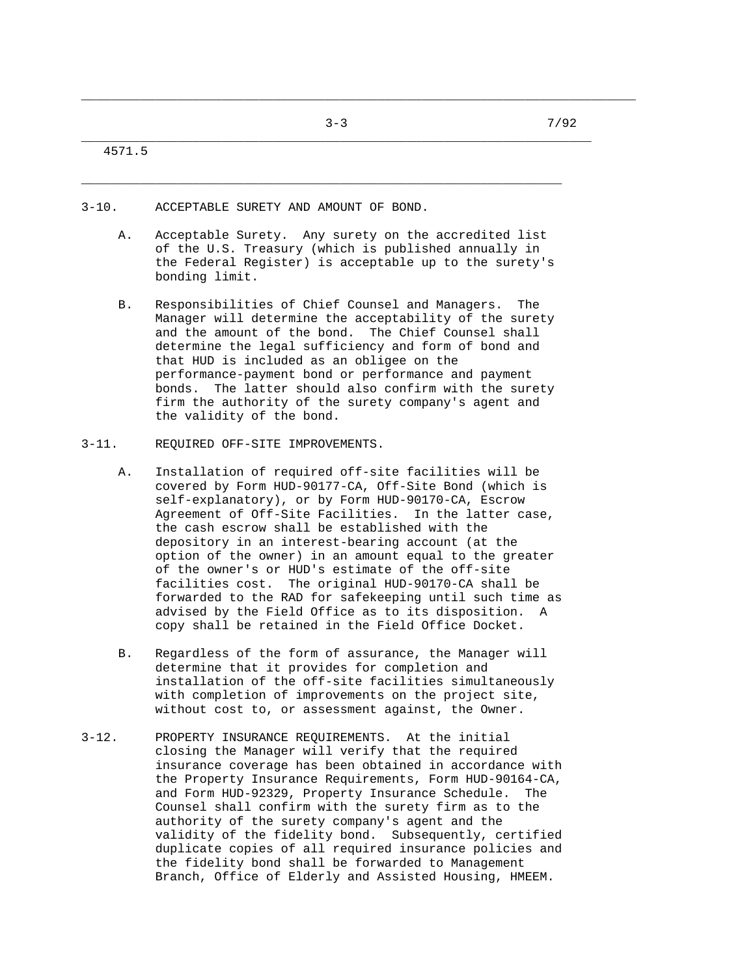\_\_\_\_\_\_\_\_\_\_\_\_\_\_\_\_\_\_\_\_\_\_\_\_\_\_\_\_\_\_\_\_\_\_\_\_\_\_\_\_\_\_\_\_\_\_\_\_\_\_\_\_\_\_\_\_\_\_\_\_\_\_\_\_\_

\_\_\_\_\_\_\_\_\_\_\_\_\_\_\_\_\_\_\_\_\_\_\_\_\_\_\_\_\_\_\_\_\_\_\_\_\_\_\_\_\_\_\_\_\_\_\_\_\_\_\_\_\_\_\_\_\_\_\_\_\_\_\_\_\_\_\_\_\_\_\_\_\_\_\_

4571.5

- 3-10. ACCEPTABLE SURETY AND AMOUNT OF BOND.
	- A. Acceptable Surety. Any surety on the accredited list of the U.S. Treasury (which is published annually in the Federal Register) is acceptable up to the surety's bonding limit.
	- B. Responsibilities of Chief Counsel and Managers. The Manager will determine the acceptability of the surety and the amount of the bond. The Chief Counsel shall determine the legal sufficiency and form of bond and that HUD is included as an obligee on the performance-payment bond or performance and payment bonds. The latter should also confirm with the surety firm the authority of the surety company's agent and the validity of the bond.
- 3-11. REQUIRED OFF-SITE IMPROVEMENTS.
	- A. Installation of required off-site facilities will be covered by Form HUD-90177-CA, Off-Site Bond (which is self-explanatory), or by Form HUD-90170-CA, Escrow Agreement of Off-Site Facilities. In the latter case, the cash escrow shall be established with the depository in an interest-bearing account (at the option of the owner) in an amount equal to the greater of the owner's or HUD's estimate of the off-site facilities cost. The original HUD-90170-CA shall be forwarded to the RAD for safekeeping until such time as advised by the Field Office as to its disposition. A copy shall be retained in the Field Office Docket.
	- B. Regardless of the form of assurance, the Manager will determine that it provides for completion and installation of the off-site facilities simultaneously with completion of improvements on the project site, without cost to, or assessment against, the Owner.
- 3-12. PROPERTY INSURANCE REQUIREMENTS. At the initial closing the Manager will verify that the required insurance coverage has been obtained in accordance with the Property Insurance Requirements, Form HUD-90164-CA, and Form HUD-92329, Property Insurance Schedule. The Counsel shall confirm with the surety firm as to the authority of the surety company's agent and the validity of the fidelity bond. Subsequently, certified duplicate copies of all required insurance policies and the fidelity bond shall be forwarded to Management Branch, Office of Elderly and Assisted Housing, HMEEM.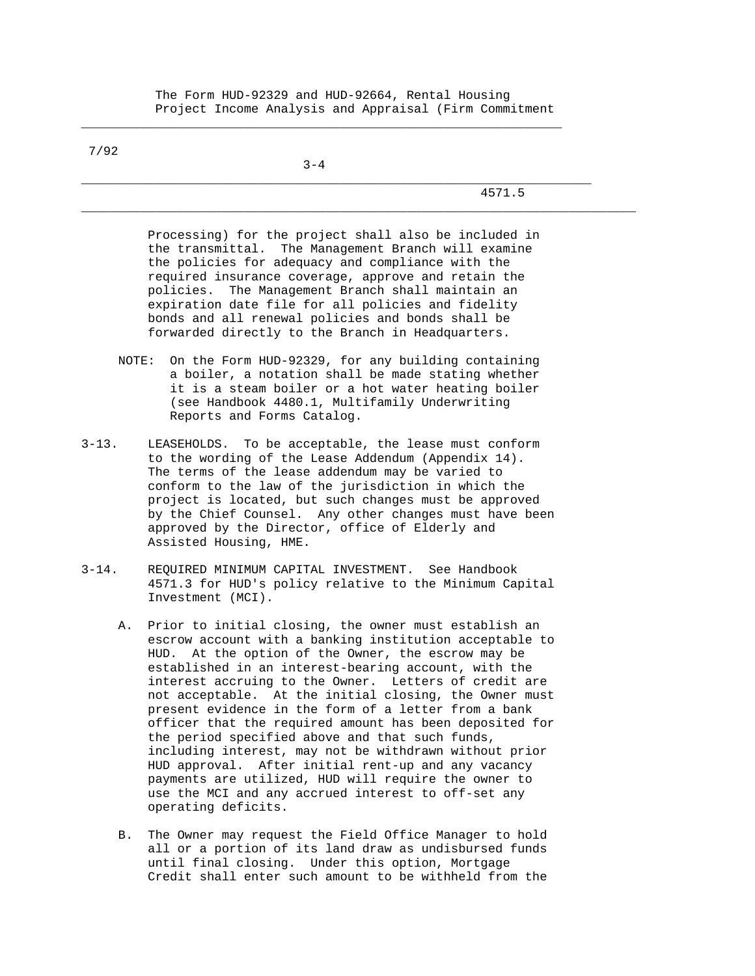The Form HUD-92329 and HUD-92664, Rental Housing Project Income Analysis and Appraisal (Firm Commitment

7/92

 $3-4$ 

\_\_\_\_\_\_\_\_\_\_\_\_\_\_\_\_\_\_\_\_\_\_\_\_\_\_\_\_\_\_\_\_\_\_\_\_\_\_\_\_\_\_\_\_\_\_\_\_\_\_\_\_\_\_\_\_\_\_\_\_\_\_\_\_\_

4571.5

 Processing) for the project shall also be included in the transmittal. The Management Branch will examine the policies for adequacy and compliance with the required insurance coverage, approve and retain the policies. The Management Branch shall maintain an expiration date file for all policies and fidelity bonds and all renewal policies and bonds shall be forwarded directly to the Branch in Headquarters.

\_\_\_\_\_\_\_\_\_\_\_\_\_\_\_\_\_\_\_\_\_\_\_\_\_\_\_\_\_\_\_\_\_\_\_\_\_\_\_\_\_\_\_\_\_\_\_\_\_\_\_\_\_\_\_\_\_\_\_\_\_\_\_\_\_\_\_\_\_

- NOTE: On the Form HUD-92329, for any building containing a boiler, a notation shall be made stating whether it is a steam boiler or a hot water heating boiler (see Handbook 4480.1, Multifamily Underwriting Reports and Forms Catalog.
- 3-13. LEASEHOLDS. To be acceptable, the lease must conform to the wording of the Lease Addendum (Appendix 14). The terms of the lease addendum may be varied to conform to the law of the jurisdiction in which the project is located, but such changes must be approved by the Chief Counsel. Any other changes must have been approved by the Director, office of Elderly and Assisted Housing, HME.
- 3-14. REQUIRED MINIMUM CAPITAL INVESTMENT. See Handbook 4571.3 for HUD's policy relative to the Minimum Capital Investment (MCI).
	- A. Prior to initial closing, the owner must establish an escrow account with a banking institution acceptable to HUD. At the option of the Owner, the escrow may be established in an interest-bearing account, with the interest accruing to the Owner. Letters of credit are not acceptable. At the initial closing, the Owner must present evidence in the form of a letter from a bank officer that the required amount has been deposited for the period specified above and that such funds, including interest, may not be withdrawn without prior HUD approval. After initial rent-up and any vacancy payments are utilized, HUD will require the owner to use the MCI and any accrued interest to off-set any operating deficits.
	- B. The Owner may request the Field Office Manager to hold all or a portion of its land draw as undisbursed funds until final closing. Under this option, Mortgage Credit shall enter such amount to be withheld from the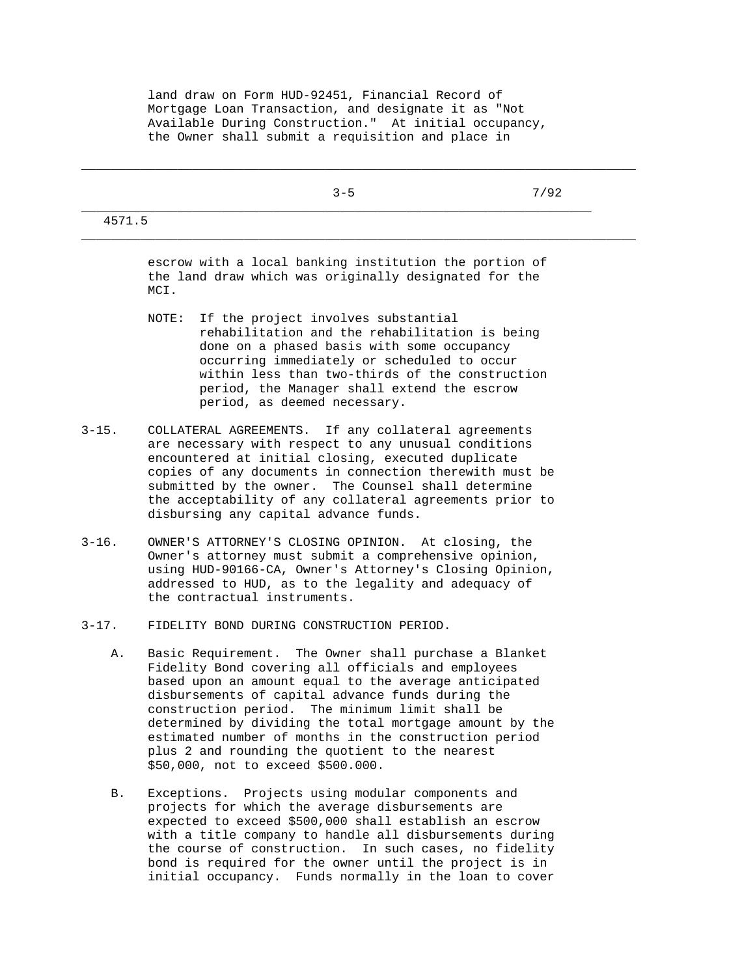land draw on Form HUD-92451, Financial Record of Mortgage Loan Transaction, and designate it as "Not Available During Construction." At initial occupancy, the Owner shall submit a requisition and place in

|        | $3 - 5$ | 7/92 |
|--------|---------|------|
| 4571.5 |         |      |

\_\_\_\_\_\_\_\_\_\_\_\_\_\_\_\_\_\_\_\_\_\_\_\_\_\_\_\_\_\_\_\_\_\_\_\_\_\_\_\_\_\_\_\_\_\_\_\_\_\_\_\_\_\_\_\_\_\_\_\_\_\_\_\_\_\_\_\_\_\_\_\_\_\_\_

 escrow with a local banking institution the portion of the land draw which was originally designated for the MCI.

- NOTE: If the project involves substantial rehabilitation and the rehabilitation is being done on a phased basis with some occupancy occurring immediately or scheduled to occur within less than two-thirds of the construction period, the Manager shall extend the escrow period, as deemed necessary.
- 3-15. COLLATERAL AGREEMENTS. If any collateral agreements are necessary with respect to any unusual conditions encountered at initial closing, executed duplicate copies of any documents in connection therewith must be submitted by the owner. The Counsel shall determine the acceptability of any collateral agreements prior to disbursing any capital advance funds.
- 3-16. OWNER'S ATTORNEY'S CLOSING OPINION. At closing, the Owner's attorney must submit a comprehensive opinion, using HUD-90166-CA, Owner's Attorney's Closing Opinion, addressed to HUD, as to the legality and adequacy of the contractual instruments.
- 3-17. FIDELITY BOND DURING CONSTRUCTION PERIOD.
	- A. Basic Requirement. The Owner shall purchase a Blanket Fidelity Bond covering all officials and employees based upon an amount equal to the average anticipated disbursements of capital advance funds during the construction period. The minimum limit shall be determined by dividing the total mortgage amount by the estimated number of months in the construction period plus 2 and rounding the quotient to the nearest \$50,000, not to exceed \$500.000.
	- B. Exceptions. Projects using modular components and projects for which the average disbursements are expected to exceed \$500,000 shall establish an escrow with a title company to handle all disbursements during the course of construction. In such cases, no fidelity bond is required for the owner until the project is in initial occupancy. Funds normally in the loan to cover